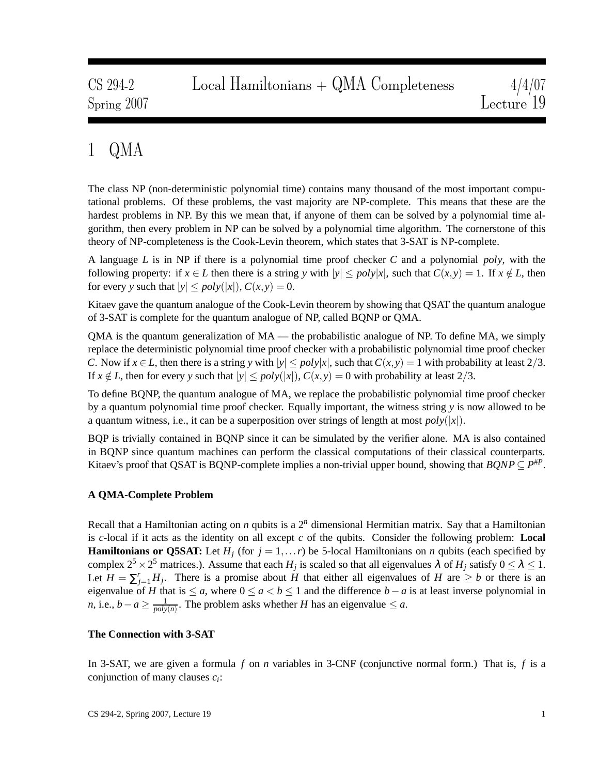# 1 QMA

The class NP (non-deterministic polynomial time) contains many thousand of the most important computational problems. Of these problems, the vast majority are NP-complete. This means that these are the hardest problems in NP. By this we mean that, if anyone of them can be solved by a polynomial time algorithm, then every problem in NP can be solved by a polynomial time algorithm. The cornerstone of this theory of NP-completeness is the Cook-Levin theorem, which states that 3-SAT is NP-complete.

A language *L* is in NP if there is a polynomial time proof checker *C* and a polynomial *poly*, with the following property: if  $x \in L$  then there is a string y with  $|y| \leq poly|x|$ , such that  $C(x, y) = 1$ . If  $x \notin L$ , then for every *y* such that  $|y| \leq poly(|x|)$ ,  $C(x, y) = 0$ .

Kitaev gave the quantum analogue of the Cook-Levin theorem by showing that QSAT the quantum analogue of 3-SAT is complete for the quantum analogue of NP, called BQNP or QMA.

QMA is the quantum generalization of MA — the probabilistic analogue of NP. To define MA, we simply replace the deterministic polynomial time proof checker with a probabilistic polynomial time proof checker *C*. Now if  $x \in L$ , then there is a string *y* with  $|y| \leq poly|x|$ , such that  $C(x, y) = 1$  with probability at least 2/3. If  $x \notin L$ , then for every *y* such that  $|y| \leq poly(|x|)$ ,  $C(x, y) = 0$  with probability at least 2/3.

To define BQNP, the quantum analogue of MA, we replace the probabilistic polynomial time proof checker by a quantum polynomial time proof checker. Equally important, the witness string *y* is now allowed to be a quantum witness, i.e., it can be a superposition over strings of length at most  $poly(|x|)$ .

BQP is trivially contained in BQNP since it can be simulated by the verifier alone. MA is also contained in BQNP since quantum machines can perform the classical computations of their classical counterparts. Kitaev's proof that QSAT is BQNP-complete implies a non-trivial upper bound, showing that  $BQNP \subseteq P^{\#P}$ .

# **A QMA-Complete Problem**

Recall that a Hamiltonian acting on  $n$  qubits is a  $2^n$  dimensional Hermitian matrix. Say that a Hamiltonian is *c*-local if it acts as the identity on all except *c* of the qubits. Consider the following problem: **Local Hamiltonians or Q5SAT:** Let  $H_i$  (for  $j = 1, \ldots r$ ) be 5-local Hamiltonians on *n* qubits (each specified by complex  $2^5 \times 2^5$  matrices.). Assume that each  $H_j$  is scaled so that all eigenvalues  $\lambda$  of  $H_j$  satisfy  $0 \le \lambda \le 1$ . Let  $H = \sum_{j=1}^{r} H_j$ . There is a promise about *H* that either all eigenvalues of *H* are  $\geq b$  or there is an eigenvalue of *H* that is  $\leq a$ , where  $0 \leq a < b \leq 1$  and the difference *b* − *a* is at least inverse polynomial in *n*, i.e., *b* − *a*  $\geq \frac{1}{p_0/w}$  $\frac{1}{poly(n)}$ . The problem asks whether *H* has an eigenvalue  $\leq a$ .

## **The Connection with 3-SAT**

In 3-SAT, we are given a formula *f* on *n* variables in 3-CNF (conjunctive normal form.) That is, *f* is a conjunction of many clauses *c<sup>i</sup>* :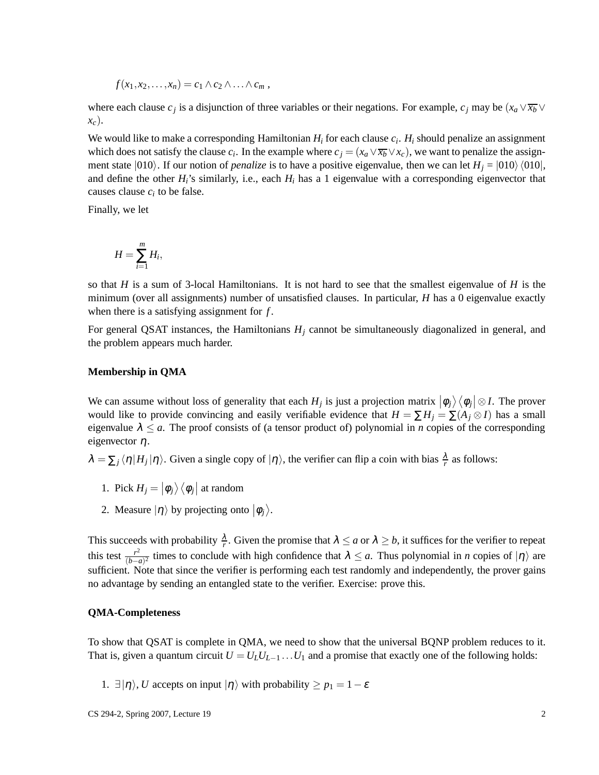$$
f(x_1,x_2,\ldots,x_n)=c_1\wedge c_2\wedge\ldots\wedge c_m,
$$

where each clause  $c_j$  is a disjunction of three variables or their negations. For example,  $c_j$  may be  $(x_a \vee \overline{x_b} \vee$ *xc*).

We would like to make a corresponding Hamiltonian *H<sup>i</sup>* for each clause *c<sup>i</sup>* . *H<sup>i</sup>* should penalize an assignment which does not satisfy the clause  $c_i$ . In the example where  $c_j = (x_a \vee \overline{x_b} \vee x_c)$ , we want to penalize the assignment state  $|010\rangle$ . If our notion of *penalize* is to have a positive eigenvalue, then we can let  $H_j = |010\rangle \langle 010|$ , and define the other  $H_i$ 's similarly, i.e., each  $H_i$  has a 1 eigenvalue with a corresponding eigenvector that causes clause *c<sup>i</sup>* to be false.

Finally, we let

$$
H=\sum_{i=1}^m H_i,
$$

so that *H* is a sum of 3-local Hamiltonians. It is not hard to see that the smallest eigenvalue of *H* is the minimum (over all assignments) number of unsatisfied clauses. In particular, *H* has a 0 eigenvalue exactly when there is a satisfying assignment for *f* .

For general QSAT instances, the Hamiltonians *H<sup>j</sup>* cannot be simultaneously diagonalized in general, and the problem appears much harder.

#### **Membership in QMA**

We can assume without loss of generality that each  $H_j$  is just a projection matrix  $|\phi_j\rangle \langle \phi_j| \otimes I$ . The prover would like to provide convincing and easily verifiable evidence that  $H = \sum H_i = \sum (A_i \otimes I)$  has a small eigenvalue  $\lambda \leq a$ . The proof consists of (a tensor product of) polynomial in *n* copies of the corresponding eigenvector  $\eta$ .

- $\lambda = \sum_j \langle \eta | H_j | \eta \rangle$ . Given a single copy of  $| \eta \rangle$ , the verifier can flip a coin with bias  $\frac{\lambda}{r}$  as follows:
	- 1. Pick  $H_j = |\phi_j\rangle \langle \phi_j|$  at random
	- 2. Measure  $|\eta\rangle$  by projecting onto  $|\phi_j\rangle$ .

This succeeds with probability  $\frac{\lambda}{r}$ . Given the promise that  $\lambda \le a$  or  $\lambda \ge b$ , it suffices for the verifier to repeat this test  $\frac{r^2}{(b)}$  $\frac{r^2}{(b-a)^2}$  times to conclude with high confidence that  $\lambda \le a$ . Thus polynomial in *n* copies of  $|\eta\rangle$  are sufficient. Note that since the verifier is performing each test randomly and independently, the prover gains no advantage by sending an entangled state to the verifier. Exercise: prove this.

#### **QMA-Completeness**

To show that QSAT is complete in QMA, we need to show that the universal BQNP problem reduces to it. That is, given a quantum circuit  $U = U_L U_{L-1} \dots U_1$  and a promise that exactly one of the following holds:

1.  $\exists |\eta\rangle$ , *U* accepts on input  $|\eta\rangle$  with probability  $\geq p_1 = 1 - \varepsilon$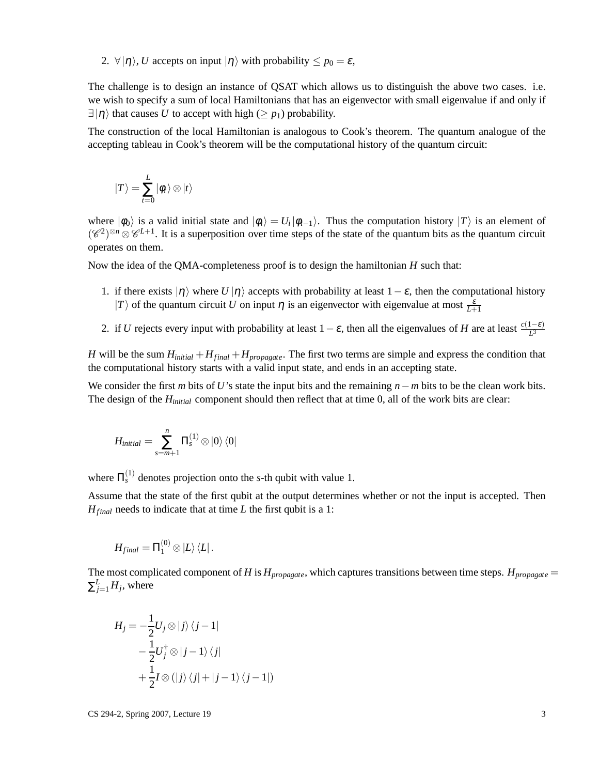2.  $\forall |\eta\rangle$ , *U* accepts on input  $|\eta\rangle$  with probability  $\leq p_0 = \varepsilon$ ,

The challenge is to design an instance of QSAT which allows us to distinguish the above two cases. i.e. we wish to specify a sum of local Hamiltonians that has an eigenvector with small eigenvalue if and only if  $\exists |\eta\rangle$  that causes *U* to accept with high ( $\geq p_1$ ) probability.

The construction of the local Hamiltonian is analogous to Cook's theorem. The quantum analogue of the accepting tableau in Cook's theorem will be the computational history of the quantum circuit:

$$
|T\rangle = \sum_{t=0}^L |\phi_t\rangle \otimes |t\rangle
$$

where  $|\phi_0\rangle$  is a valid initial state and  $|\phi_i\rangle = U_i |\phi_{i-1}\rangle$ . Thus the computation history  $|T\rangle$  is an element of  $(\mathscr{C}^2)^{\otimes n} \otimes \mathscr{C}^{L+1}$ . It is a superposition over time steps of the state of the quantum bits as the quantum circuit operates on them.

Now the idea of the QMA-completeness proof is to design the hamiltonian *H* such that:

- 1. if there exists  $|\eta\rangle$  where  $U|\eta\rangle$  accepts with probability at least  $1-\varepsilon$ , then the computational history  $|T\rangle$  of the quantum circuit *U* on input  $\eta$  is an eigenvector with eigenvalue at most  $\frac{\varepsilon}{L+1}$
- 2. if *U* rejects every input with probability at least  $1 \varepsilon$ , then all the eigenvalues of *H* are at least  $\frac{c(1-\varepsilon)}{L^3}$

*H* will be the sum  $H_{initial} + H_{final} + H_{propagate}$ . The first two terms are simple and express the condition that the computational history starts with a valid input state, and ends in an accepting state.

We consider the first *m* bits of *U*'s state the input bits and the remaining *n*−*m* bits to be the clean work bits. The design of the *Hinitial* component should then reflect that at time 0, all of the work bits are clear:

$$
H_{initial}=\sum_{s=m+1}^{n}\Pi_{s}^{(1)}\otimes\ket{0}\bra{0}
$$

where  $\Pi_s^{(1)}$  denotes projection onto the *s*-th qubit with value 1.

Assume that the state of the first qubit at the output determines whether or not the input is accepted. Then  $H_{final}$  needs to indicate that at time *L* the first qubit is a 1:

$$
H_{final}=\Pi _{1}^{(0)}\otimes \left\vert L\right\rangle \left\langle L\right\vert .
$$

The most complicated component of *H* is  $H_{propagate}$ , which captures transitions between time steps.  $H_{propagate}$  $\sum_{j=1}^{L} H_j$ , where

$$
H_j = -\frac{1}{2} U_j \otimes |j\rangle \langle j - 1|
$$
  

$$
-\frac{1}{2} U_j^{\dagger} \otimes |j - 1\rangle \langle j|
$$
  

$$
+\frac{1}{2} I \otimes (|j\rangle \langle j| + |j - 1\rangle \langle j - 1|)
$$